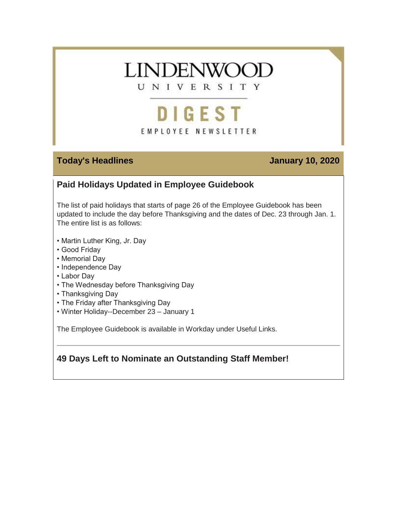

# DIGEST EMPLOYEE NEWSLETTER

#### **Today's Headlines January 10, 2020**

### **Paid Holidays Updated in Employee Guidebook**

The list of paid holidays that starts of page 26 of the Employee Guidebook has been updated to include the day before Thanksgiving and the dates of Dec. 23 through Jan. 1. The entire list is as follows:

- Martin Luther King, Jr. Day
- Good Friday
- Memorial Day
- Independence Day
- Labor Day
- The Wednesday before Thanksgiving Day
- Thanksgiving Day
- The Friday after Thanksgiving Day
- Winter Holiday--December 23 January 1

The Employee Guidebook is available in Workday under Useful Links.

#### **49 Days Left to Nominate an Outstanding Staff Member!**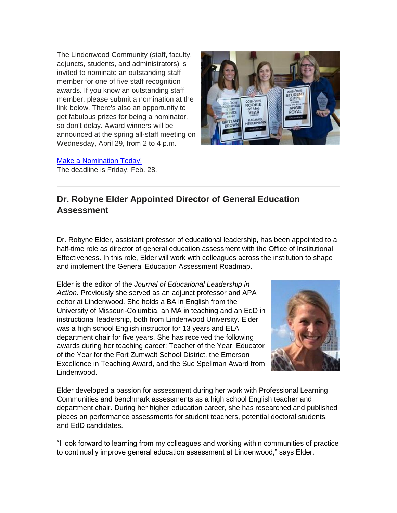The Lindenwood Community (staff, faculty, adjuncts, students, and administrators) is invited to nominate an outstanding staff member for one of five staff recognition awards. If you know an outstanding staff member, please submit a nomination at the link below. There's also an opportunity to get fabulous prizes for being a nominator, so don't delay. Award winners will be announced at the spring all-staff meeting on Wednesday, April 29, from 2 to 4 p.m.



[Make a Nomination Today!](https://hes32-ctp.trendmicro.com/wis/clicktime/v1/query?url=https%3a%2f%2fcustapp.marketvolt.com%2flink%2fHgwvwMMm7f%3fCM%3d1447396607%26X%3d70525052&umid=7e6353aa-5728-42a8-a02b-28f60a21188f&auth=bc7ac43e330fa629f0cfb11786c85e83c10d06b8-00407eaa3196de0bf087f3586b0fe223dfb10e09) The deadline is Friday, Feb. 28.

#### **Dr. Robyne Elder Appointed Director of General Education Assessment**

Dr. Robyne Elder, assistant professor of educational leadership, has been appointed to a half-time role as director of general education assessment with the Office of Institutional Effectiveness. In this role, Elder will work with colleagues across the institution to shape and implement the General Education Assessment Roadmap.

Elder is the editor of the *Journal of Educational Leadership in Action*. Previously she served as an adjunct professor and APA editor at Lindenwood. She holds a BA in English from the University of Missouri-Columbia, an MA in teaching and an EdD in instructional leadership, both from Lindenwood University. Elder was a high school English instructor for 13 years and ELA department chair for five years. She has received the following awards during her teaching career: Teacher of the Year, Educator of the Year for the Fort Zumwalt School District, the Emerson Excellence in Teaching Award, and the Sue Spellman Award from Lindenwood.



Elder developed a passion for assessment during her work with Professional Learning Communities and benchmark assessments as a high school English teacher and department chair. During her higher education career, she has researched and published pieces on performance assessments for student teachers, potential doctoral students, and EdD candidates.

"I look forward to learning from my colleagues and working within communities of practice to continually improve general education assessment at Lindenwood," says Elder.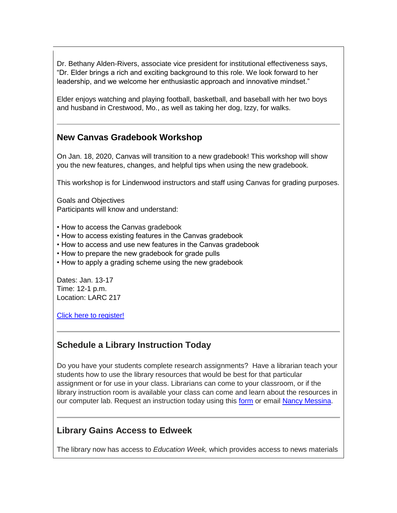Dr. Bethany Alden-Rivers, associate vice president for institutional effectiveness says, "Dr. Elder brings a rich and exciting background to this role. We look forward to her leadership, and we welcome her enthusiastic approach and innovative mindset."

Elder enjoys watching and playing football, basketball, and baseball with her two boys and husband in Crestwood, Mo., as well as taking her dog, Izzy, for walks.

#### **New Canvas Gradebook Workshop**

On Jan. 18, 2020, Canvas will transition to a new gradebook! This workshop will show you the new features, changes, and helpful tips when using the new gradebook.

This workshop is for Lindenwood instructors and staff using Canvas for grading purposes.

Goals and Objectives Participants will know and understand:

- How to access the Canvas gradebook
- How to access existing features in the Canvas gradebook
- How to access and use new features in the Canvas gradebook
- How to prepare the new gradebook for grade pulls
- How to apply a grading scheme using the new gradebook

Dates: Jan. 13-17 Time: 12-1 p.m. Location: LARC 217

[Click here to register!](https://hes32-ctp.trendmicro.com/wis/clicktime/v1/query?url=https%3a%2f%2fcustapp.marketvolt.com%2flink%2fadVfDkgLnC%3fCM%3d1447396607%26X%3d70525052&umid=7e6353aa-5728-42a8-a02b-28f60a21188f&auth=bc7ac43e330fa629f0cfb11786c85e83c10d06b8-5ff2ea3080ca57ce3b533cb00e8eed102022672d)

#### **Schedule a Library Instruction Today**

Do you have your students complete research assignments? Have a librarian teach your students how to use the library resources that would be best for that particular assignment or for use in your class. Librarians can come to your classroom, or if the library instruction room is available your class can come and learn about the resources in our computer lab. Request an instruction today using this [form](https://hes32-ctp.trendmicro.com/wis/clicktime/v1/query?url=https%3a%2f%2fcustapp.marketvolt.com%2flink%2f8D31fsfoyF%3fCM%3d1447396607%26X%3d70525052&umid=7e6353aa-5728-42a8-a02b-28f60a21188f&auth=bc7ac43e330fa629f0cfb11786c85e83c10d06b8-0892edfa90e7557859c3d5f4177058dd2615ec89) or email [Nancy Messina.](mailto:nmessina@lindenwood.edu)

#### **Library Gains Access to Edweek**

The library now has access to *Education Week,* which provides access to news materials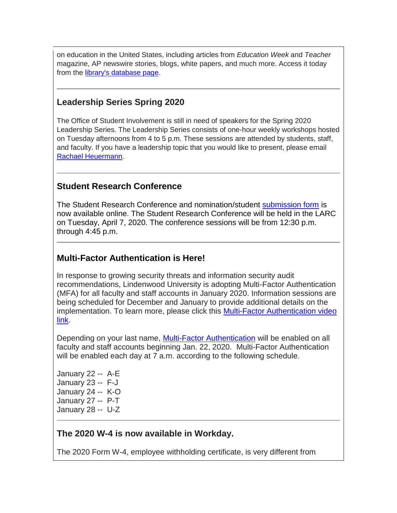on education in the United States, including articles from *Education Week* and *Teacher* magazine, AP newswire stories, blogs, white papers, and much more. Access it today from the [library's database page.](https://hes32-ctp.trendmicro.com/wis/clicktime/v1/query?url=https%3a%2f%2fcustapp.marketvolt.com%2flink%2fZx2FCy5Iis%3fCM%3d1447396607%26X%3d70525052&umid=7e6353aa-5728-42a8-a02b-28f60a21188f&auth=bc7ac43e330fa629f0cfb11786c85e83c10d06b8-8d06ebb9d82e62ee9ea719f8f97ec7351c40df8e)

#### **Leadership Series Spring 2020**

The Office of Student Involvement is still in need of speakers for the Spring 2020 Leadership Series. The Leadership Series consists of one-hour weekly workshops hosted on Tuesday afternoons from 4 to 5 p.m. These sessions are attended by students, staff, and faculty. If you have a leadership topic that you would like to present, please email [Rachael Heuermann.](mailto:rheuermann@lindenwood.edu)

#### **Student Research Conference**

The Student Research Conference and nomination/student [submission form](https://hes32-ctp.trendmicro.com/wis/clicktime/v1/query?url=https%3a%2f%2fcustapp.marketvolt.com%2flink%2fTvUVwci5gd%3fCM%3d1447396607%26X%3d70525052&umid=7e6353aa-5728-42a8-a02b-28f60a21188f&auth=bc7ac43e330fa629f0cfb11786c85e83c10d06b8-a35eb9ff33525c596bceb917927e6b75835092f3) is now available online. The Student Research Conference will be held in the LARC on Tuesday, April 7, 2020. The conference sessions will be from 12:30 p.m. through 4:45 p.m.

#### **Multi-Factor Authentication is Here!**

In response to growing security threats and information security audit recommendations, Lindenwood University is adopting Multi-Factor Authentication (MFA) for all faculty and staff accounts in January 2020. Information sessions are being scheduled for December and January to provide additional details on the implementation. To learn more, please click this [Multi-Factor Authentication video](https://hes32-ctp.trendmicro.com/wis/clicktime/v1/query?url=https%3a%2f%2fcustapp.marketvolt.com%2flink%2f1FA6xyMnoH%3fCM%3d1447396607%26X%3d70525052&umid=7e6353aa-5728-42a8-a02b-28f60a21188f&auth=bc7ac43e330fa629f0cfb11786c85e83c10d06b8-59b1a242319bc3ec3974882ed70ba0331e3dacae)  [link.](https://hes32-ctp.trendmicro.com/wis/clicktime/v1/query?url=https%3a%2f%2fcustapp.marketvolt.com%2flink%2f1FA6xyMnoH%3fCM%3d1447396607%26X%3d70525052&umid=7e6353aa-5728-42a8-a02b-28f60a21188f&auth=bc7ac43e330fa629f0cfb11786c85e83c10d06b8-59b1a242319bc3ec3974882ed70ba0331e3dacae)

Depending on your last name, [Multi-Factor Authentication](https://hes32-ctp.trendmicro.com/wis/clicktime/v1/query?url=https%3a%2f%2fcustapp.marketvolt.com%2flink%2fPnPBQ63cmv%3fCM%3d1447396607%26X%3d70525052&umid=7e6353aa-5728-42a8-a02b-28f60a21188f&auth=bc7ac43e330fa629f0cfb11786c85e83c10d06b8-005034d868e4e065bb215661846050c90aa9e85f) will be enabled on all faculty and staff accounts beginning Jan. 22, 2020. Multi-Factor Authentication will be enabled each day at 7 a.m. according to the following schedule.

January 22 -- A-E January 23 -- F-J January 24 -- K-O January 27 -- P-T January 28 -- U-Z

#### **The 2020 W-4 is now available in Workday.**

The 2020 Form W-4, employee withholding certificate, is very different from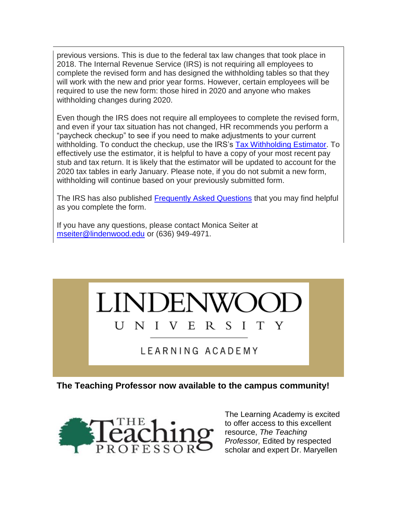previous versions. This is due to the federal tax law changes that took place in 2018. The Internal Revenue Service (IRS) is not requiring all employees to complete the revised form and has designed the withholding tables so that they will work with the new and prior year forms. However, certain employees will be required to use the new form: those hired in 2020 and anyone who makes withholding changes during 2020.

Even though the IRS does not require all employees to complete the revised form, and even if your tax situation has not changed, HR recommends you perform a "paycheck checkup" to see if you need to make adjustments to your current withholding. To conduct the checkup, use the IRS's [Tax Withholding Estimator.](https://hes32-ctp.trendmicro.com/wis/clicktime/v1/query?url=https%3a%2f%2fcustapp.marketvolt.com%2flink%2fpgpzcGvwcf%3fCM%3d1447396607%26X%3d70525052&umid=7e6353aa-5728-42a8-a02b-28f60a21188f&auth=bc7ac43e330fa629f0cfb11786c85e83c10d06b8-23739cdb04d2b613ddaef11439aca9e3853ca093) To effectively use the estimator, it is helpful to have a copy of your most recent pay stub and tax return. It is likely that the estimator will be updated to account for the 2020 tax tables in early January. Please note, if you do not submit a new form, withholding will continue based on your previously submitted form.

The IRS has also published **Frequently Asked Questions** that you may find helpful as you complete the form.

If you have any questions, please contact Monica Seiter at [mseiter@lindenwood.edu](mailto:mseiter@lindenwood.edu) or (636) 949-4971.



LEARNING ACADEMY

**The Teaching Professor now available to the campus community!**



The Learning Academy is excited to offer access to this excellent resource, *The Teaching Professor,* Edited by respected scholar and expert Dr. Maryellen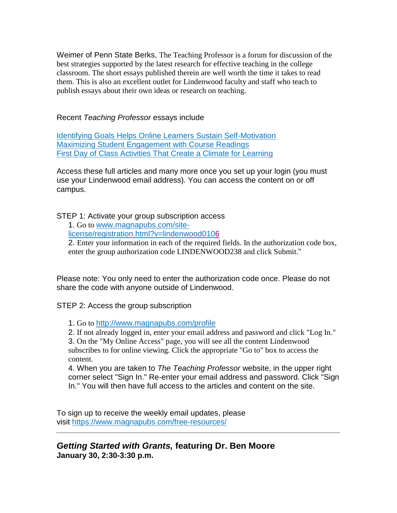Weimer of Penn State Berks, The Teaching Professor is a forum for discussion of the best strategies supported by the latest research for effective teaching in the college classroom. The short essays published therein are well worth the time it takes to read them. This is also an excellent outlet for Lindenwood faculty and staff who teach to publish essays about their own ideas or research on teaching.

Recent *Teaching Professor* essays include

[Identifying Goals Helps Online Learners Sustain Self-Motivation](https://hes32-ctp.trendmicro.com/wis/clicktime/v1/query?url=https%3a%2f%2fcustapp.marketvolt.com%2flink%2fzdmzuLbgFT%3fCM%3d1447396607%26X%3d70525052&umid=7e6353aa-5728-42a8-a02b-28f60a21188f&auth=bc7ac43e330fa629f0cfb11786c85e83c10d06b8-7bff797639e6fc8af27b07a1b9202e08f33f2dd4) [Maximizing Student Engagement with Course Readings](https://hes32-ctp.trendmicro.com/wis/clicktime/v1/query?url=https%3a%2f%2fcustapp.marketvolt.com%2flink%2fSP1ycpPAS7%3fCM%3d1447396607%26X%3d70525052&umid=7e6353aa-5728-42a8-a02b-28f60a21188f&auth=bc7ac43e330fa629f0cfb11786c85e83c10d06b8-96bc1a419325c1205d731061f055b8122ad71788) [First Day of Class Activities That Create a Climate for Learning](https://hes32-ctp.trendmicro.com/wis/clicktime/v1/query?url=https%3a%2f%2fcustapp.marketvolt.com%2flink%2f3Y2oWLK1Gn%3fCM%3d1447396607%26X%3d70525052&umid=7e6353aa-5728-42a8-a02b-28f60a21188f&auth=bc7ac43e330fa629f0cfb11786c85e83c10d06b8-aa984a0d3726f0fa5b4cb508daa28d2adffd69f5)

Access these full articles and many more once you set up your login (you must use your Lindenwood email address). You can access the content on or off campus.

STEP 1: Activate your group subscription access

1. Go to [www.magnapubs.com/site-](https://hes32-ctp.trendmicro.com/wis/clicktime/v1/query?url=https%3a%2f%2fcustapp.marketvolt.com%2flink%2fFAHYff6FDb%3fCM%3d1447396607%26X%3d70525052&umid=7e6353aa-5728-42a8-a02b-28f60a21188f&auth=bc7ac43e330fa629f0cfb11786c85e83c10d06b8-96502619bbf4aa34272754bb953bd5c116c655c6)

[license/registration.html?v=lindenwood0106](https://hes32-ctp.trendmicro.com/wis/clicktime/v1/query?url=https%3a%2f%2fcustapp.marketvolt.com%2flink%2fFAHYff6FDb%3fCM%3d1447396607%26X%3d70525052&umid=7e6353aa-5728-42a8-a02b-28f60a21188f&auth=bc7ac43e330fa629f0cfb11786c85e83c10d06b8-96502619bbf4aa34272754bb953bd5c116c655c6)

2. Enter your information in each of the required fields. In the authorization code box, enter the group authorization code LINDENWOOD238 and click Submit."

Please note: You only need to enter the authorization code once. Please do not share the code with anyone outside of Lindenwood.

STEP 2: Access the group subscription

1. Go to [http://www.magnapubs.com/profile](https://hes32-ctp.trendmicro.com/wis/clicktime/v1/query?url=https%3a%2f%2fcustapp.marketvolt.com%2flink%2ffcGpW4ePic%3fCM%3d1447396607%26X%3d70525052&umid=7e6353aa-5728-42a8-a02b-28f60a21188f&auth=bc7ac43e330fa629f0cfb11786c85e83c10d06b8-5c5622ba1223b6f348609bf91dd8ea850fcb01c2)

2. If not already logged in, enter your email address and password and click "Log In."

3. On the "My Online Access" page, you will see all the content Lindenwood subscribes to for online viewing. Click the appropriate "Go to" box to access the content.

4. When you are taken to *The Teaching Professor* website, in the upper right corner select "Sign In." Re-enter your email address and password. Click "Sign In." You will then have full access to the articles and content on the site.

To sign up to receive the weekly email updates, please visit [https://www.magnapubs.com/free-resources/](https://hes32-ctp.trendmicro.com/wis/clicktime/v1/query?url=https%3a%2f%2fcustapp.marketvolt.com%2flink%2fzcf66YbKCU%3fCM%3d1447396607%26X%3d70525052&umid=7e6353aa-5728-42a8-a02b-28f60a21188f&auth=bc7ac43e330fa629f0cfb11786c85e83c10d06b8-c4e3e03a4d62eb1a96687cf3c033d79a92ce6bad)

*Getting Started with Grants,* **featuring Dr. Ben Moore January 30, 2:30-3:30 p.m.**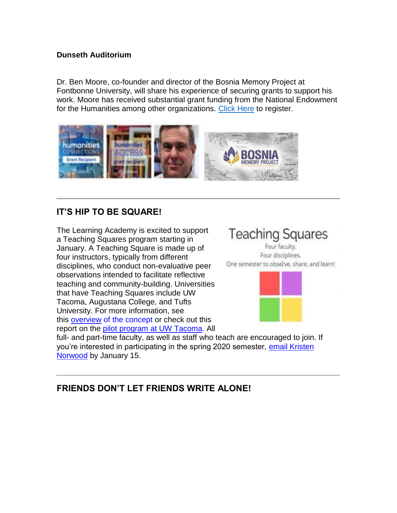#### **Dunseth Auditorium**

Dr. Ben Moore, co-founder and director of the Bosnia Memory Project at Fontbonne University, will share his experience of securing grants to support his work. Moore has received substantial grant funding from the National Endowment for the Humanities among other organizations. [Click Here](https://hes32-ctp.trendmicro.com/wis/clicktime/v1/query?url=https%3a%2f%2fcustapp.marketvolt.com%2flink%2fxkUnfgKC2L%3fCM%3d1447396607%26X%3d70525052&umid=7e6353aa-5728-42a8-a02b-28f60a21188f&auth=bc7ac43e330fa629f0cfb11786c85e83c10d06b8-58a04424507c41f60e3663c8b507baaf7899f1d0) to register.



#### **IT'S HIP TO BE SQUARE!**

The Learning Academy is excited to support a Teaching Squares program starting in January. A Teaching Square is made up of four instructors, typically from different disciplines, who conduct non-evaluative peer observations intended to facilitate reflective teaching and community-building. Universities that have Teaching Squares include UW Tacoma, Augustana College, and Tufts University. For more information, see this [overview](https://hes32-ctp.trendmicro.com/wis/clicktime/v1/query?url=https%3a%2f%2fcustapp.marketvolt.com%2flink%2fN5WHqBYGb6%3fCM%3d1447396607%26X%3d70525052&umid=7e6353aa-5728-42a8-a02b-28f60a21188f&auth=bc7ac43e330fa629f0cfb11786c85e83c10d06b8-5b48a6032a25d1691c2020a1b5ea3d9a0946b9c3) of the concept or check out this report on the [pilot program at UW Tacoma.](https://hes32-ctp.trendmicro.com/wis/clicktime/v1/query?url=https%3a%2f%2fcustapp.marketvolt.com%2flink%2ffK6iisQq8r%3fCM%3d1447396607%26X%3d70525052&umid=7e6353aa-5728-42a8-a02b-28f60a21188f&auth=bc7ac43e330fa629f0cfb11786c85e83c10d06b8-c3f21f9e30082ddb9321b0bd78e58340bc71a5e4) All



Four faculty. Four disciplines. One semester to obselve, share, and learn!



full- and part-time faculty, as well as staff who teach are encouraged to join. If you're interested in participating in the spring 2020 semester, [email Kristen](mailto:knorwood@lindenwood.edu)  [Norwood](mailto:knorwood@lindenwood.edu) by January 15.

#### **FRIENDS DON'T LET FRIENDS WRITE ALONE!**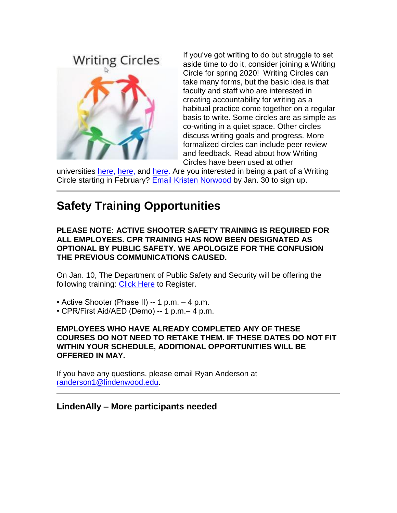## **Writing Circles**



If you've got writing to do but struggle to set aside time to do it, consider joining a Writing Circle for spring 2020! Writing Circles can take many forms, but the basic idea is that faculty and staff who are interested in creating accountability for writing as a habitual practice come together on a regular basis to write. Some circles are as simple as co-writing in a quiet space. Other circles discuss writing goals and progress. More formalized circles can include peer review and feedback. Read about how Writing Circles have been used at other

universities [here,](https://hes32-ctp.trendmicro.com/wis/clicktime/v1/query?url=https%3a%2f%2fcustapp.marketvolt.com%2flink%2foqQuDeqD1o%3fCM%3d1447396607%26X%3d70525052&umid=7e6353aa-5728-42a8-a02b-28f60a21188f&auth=bc7ac43e330fa629f0cfb11786c85e83c10d06b8-0fc3722dde52fab9c4abfca599ee881052d05d21) [here,](https://hes32-ctp.trendmicro.com/wis/clicktime/v1/query?url=https%3a%2f%2fcustapp.marketvolt.com%2flink%2fdcnciifakN%3fCM%3d1447396607%26X%3d70525052&umid=7e6353aa-5728-42a8-a02b-28f60a21188f&auth=bc7ac43e330fa629f0cfb11786c85e83c10d06b8-ac6576e1913a45749954cadb84bbf59ba97f214d) and [here.](https://hes32-ctp.trendmicro.com/wis/clicktime/v1/query?url=https%3a%2f%2fcustapp.marketvolt.com%2flink%2fELn3oFCifQ%3fCM%3d1447396607%26X%3d70525052&umid=7e6353aa-5728-42a8-a02b-28f60a21188f&auth=bc7ac43e330fa629f0cfb11786c85e83c10d06b8-173821bcb904387c1de261a2edd06bea377d981e) Are you interested in being a part of a Writing Circle starting in February? [Email Kristen Norwood](mailto:knorwood@lindenwood.edu) by Jan. 30 to sign up.

## **Safety Training Opportunities**

#### **PLEASE NOTE: ACTIVE SHOOTER SAFETY TRAINING IS REQUIRED FOR ALL EMPLOYEES. CPR TRAINING HAS NOW BEEN DESIGNATED AS OPTIONAL BY PUBLIC SAFETY. WE APOLOGIZE FOR THE CONFUSION THE PREVIOUS COMMUNICATIONS CAUSED.**

On Jan. 10, The Department of Public Safety and Security will be offering the following training: [Click Here](https://hes32-ctp.trendmicro.com/wis/clicktime/v1/query?url=https%3a%2f%2fcustapp.marketvolt.com%2flink%2fy7bUY4E3eK%3fCM%3d1447396607%26X%3d70525052&umid=7e6353aa-5728-42a8-a02b-28f60a21188f&auth=bc7ac43e330fa629f0cfb11786c85e83c10d06b8-59dd7c3dc0da86b3b49d2d52029fc7896395a5b4) to Register.

- Active Shooter (Phase II) -- 1 p.m. 4 p.m.
- CPR/First Aid/AED (Demo) -- 1 p.m.– 4 p.m.

#### **EMPLOYEES WHO HAVE ALREADY COMPLETED ANY OF THESE COURSES DO NOT NEED TO RETAKE THEM. IF THESE DATES DO NOT FIT WITHIN YOUR SCHEDULE, ADDITIONAL OPPORTUNITIES WILL BE OFFERED IN MAY.**

If you have any questions, please email Ryan Anderson at [randerson1@lindenwood.edu.](mailto:randerson1@lindenwood.edu)

#### **LindenAlly – More participants needed**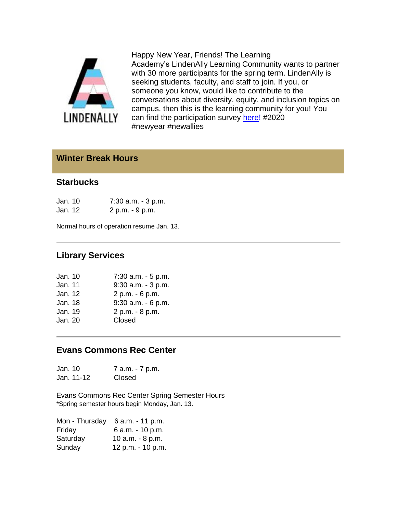

Happy New Year, Friends! The Learning Academy's LindenAlly Learning Community wants to partner with 30 more participants for the spring term. LindenAlly is seeking students, faculty, and staff to join. If you, or someone you know, would like to contribute to the conversations about diversity. equity, and inclusion topics on campus, then this is the learning community for you! You can find the participation survey [here!](https://hes32-ctp.trendmicro.com/wis/clicktime/v1/query?url=https%3a%2f%2fcustapp.marketvolt.com%2flink%2fi8nxpnUMSo%3fCM%3d1447396607%26X%3d70525052&umid=7e6353aa-5728-42a8-a02b-28f60a21188f&auth=bc7ac43e330fa629f0cfb11786c85e83c10d06b8-4bf0a3ad5096e04cfd0a43040992ec37350dd13c) #2020 #newyear #newallies

#### **Winter Break Hours**

#### **Starbucks**

| Jan. 10 | 7:30 a.m. - 3 p.m. |
|---------|--------------------|
| Jan. 12 | 2 p.m. - 9 p.m.    |

Normal hours of operation resume Jan. 13.

#### **Library Services**

| Jan. 10 | $7:30$ a.m. $-5$ p.m. |
|---------|-----------------------|
| Jan. 11 | $9:30$ a.m. $-3$ p.m. |
| Jan. 12 | 2 p.m. - 6 p.m.       |
| Jan. 18 | $9:30$ a.m. $-6$ p.m. |
| Jan. 19 | 2 p.m. - 8 p.m.       |
| Jan. 20 | Closed                |
|         |                       |

#### **Evans Commons Rec Center**

Jan. 10 7 a.m. - 7 p.m. Jan. 11-12 Closed

Evans Commons Rec Center Spring Semester Hours \*Spring semester hours begin Monday, Jan. 13.

| Mon - Thursday | 6 a.m. - 11 p.m.  |
|----------------|-------------------|
| Friday         | 6 a.m. - 10 p.m.  |
| Saturday       | 10 a.m. - 8 p.m.  |
| Sunday         | 12 p.m. - 10 p.m. |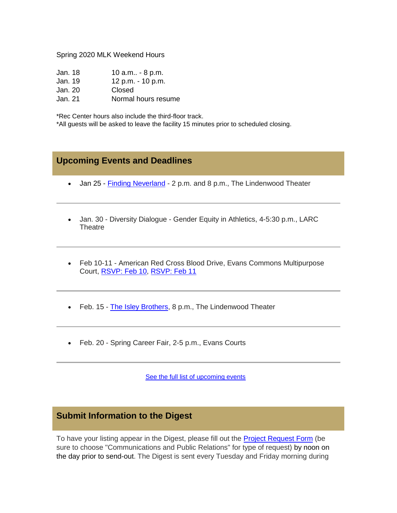#### Spring 2020 MLK Weekend Hours

| Jan. 18 | 10 $a.m - 8 p.m.$   |
|---------|---------------------|
| Jan. 19 | 12 p.m. - 10 p.m.   |
| Jan. 20 | Closed              |
| Jan. 21 | Normal hours resume |
|         |                     |

\*Rec Center hours also include the third-floor track.

\*All guests will be asked to leave the facility 15 minutes prior to scheduled closing.

#### **Upcoming Events and Deadlines**

- Jan 25 [Finding Neverland](https://hes32-ctp.trendmicro.com/wis/clicktime/v1/query?url=https%3a%2f%2fcustapp.marketvolt.com%2flink%2fzII7HvofWY%3fCM%3d1447396607%26X%3d70525052&umid=7e6353aa-5728-42a8-a02b-28f60a21188f&auth=bc7ac43e330fa629f0cfb11786c85e83c10d06b8-dda8b715a743a5f0fe56961fb1ba0dc14e3281b9) 2 p.m. and 8 p.m., The Lindenwood Theater
- Jan. 30 Diversity Dialogue Gender Equity in Athletics, 4-5:30 p.m., LARC **Theatre**
- Feb 10-11 American Red Cross Blood Drive, Evans Commons Multipurpose Court, [RSVP: Feb 10,](https://hes32-ctp.trendmicro.com/wis/clicktime/v1/query?url=https%3a%2f%2fcustapp.marketvolt.com%2flink%2fRgfZQqAKi4%3fCM%3d1447396607%26X%3d70525052&umid=7e6353aa-5728-42a8-a02b-28f60a21188f&auth=bc7ac43e330fa629f0cfb11786c85e83c10d06b8-6acb42eada17d82c4205300c9981dc579265e95f) [RSVP: Feb 11](https://hes32-ctp.trendmicro.com/wis/clicktime/v1/query?url=https%3a%2f%2fcustapp.marketvolt.com%2flink%2fYF1BI5HwEa%3fCM%3d1447396607%26X%3d70525052&umid=7e6353aa-5728-42a8-a02b-28f60a21188f&auth=bc7ac43e330fa629f0cfb11786c85e83c10d06b8-f0ef34fd32278aa496c6c18e36c9c19349c18582)
- Feb. 15 [The Isley Brothers,](https://hes32-ctp.trendmicro.com/wis/clicktime/v1/query?url=https%3a%2f%2fcustapp.marketvolt.com%2flink%2fsIAmvfPYKK%3fCM%3d1447396607%26X%3d70525052&umid=7e6353aa-5728-42a8-a02b-28f60a21188f&auth=bc7ac43e330fa629f0cfb11786c85e83c10d06b8-9fb19f5e655c628233dd98ab8e9763b066ae29b1) 8 p.m., The Lindenwood Theater
- Feb. 20 Spring Career Fair, 2-5 p.m., Evans Courts

[See the full list of upcoming events](https://hes32-ctp.trendmicro.com/wis/clicktime/v1/query?url=https%3a%2f%2fcustapp.marketvolt.com%2flink%2fqkbdlMNLEX%3fCM%3d1447396607%26X%3d70525052&umid=7e6353aa-5728-42a8-a02b-28f60a21188f&auth=bc7ac43e330fa629f0cfb11786c85e83c10d06b8-537025f862fd097b7b6b90dd5c735b2c83916cd1)

#### **Submit Information to the Digest**

To have your listing appear in the Digest, please fill out the [Project Request Form](https://hes32-ctp.trendmicro.com/wis/clicktime/v1/query?url=https%3a%2f%2fcustapp.marketvolt.com%2flink%2fDZAETQGQdh%3fCM%3d1447396607%26X%3d70525052&umid=7e6353aa-5728-42a8-a02b-28f60a21188f&auth=bc7ac43e330fa629f0cfb11786c85e83c10d06b8-d09da792efe57e3f81fd28166e9a7771cda39fbd) (be sure to choose "Communications and Public Relations" for type of request) by noon on the day prior to send-out. The Digest is sent every Tuesday and Friday morning during